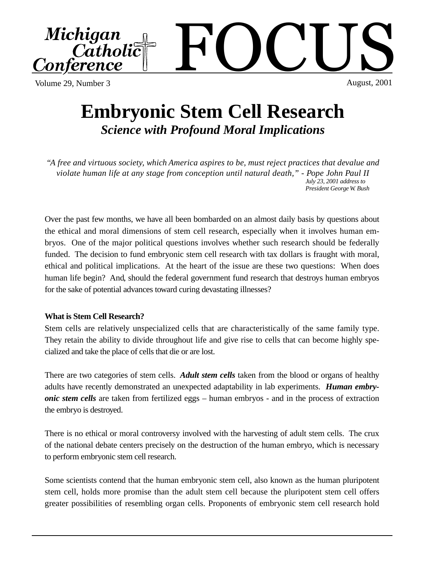Volume 29, Number 3

*Conference* 

Michigan

 $C$ atholic

# FOCUS

**Embryonic Stem Cell Research** *Science with Profound Moral Implications*

*"A free and virtuous society, which America aspires to be, must reject practices that devalue and violate human life at any stage from conception until natural death," - Pope John Paul II July 23, 2001 address to President George W. Bush*

Over the past few months, we have all been bombarded on an almost daily basis by questions about the ethical and moral dimensions of stem cell research, especially when it involves human embryos. One of the major political questions involves whether such research should be federally funded. The decision to fund embryonic stem cell research with tax dollars is fraught with moral, ethical and political implications. At the heart of the issue are these two questions: When does human life begin? And, should the federal government fund research that destroys human embryos for the sake of potential advances toward curing devastating illnesses?

#### **What is Stem Cell Research?**

Stem cells are relatively unspecialized cells that are characteristically of the same family type. They retain the ability to divide throughout life and give rise to cells that can become highly specialized and take the place of cells that die or are lost.

There are two categories of stem cells. *Adult stem cells* taken from the blood or organs of healthy adults have recently demonstrated an unexpected adaptability in lab experiments. *Human embryonic stem cells* are taken from fertilized eggs – human embryos - and in the process of extraction the embryo is destroyed.

There is no ethical or moral controversy involved with the harvesting of adult stem cells. The crux of the national debate centers precisely on the destruction of the human embryo, which is necessary to perform embryonic stem cell research.

Some scientists contend that the human embryonic stem cell, also known as the human pluripotent stem cell, holds more promise than the adult stem cell because the pluripotent stem cell offers greater possibilities of resembling organ cells. Proponents of embryonic stem cell research hold

August, 2001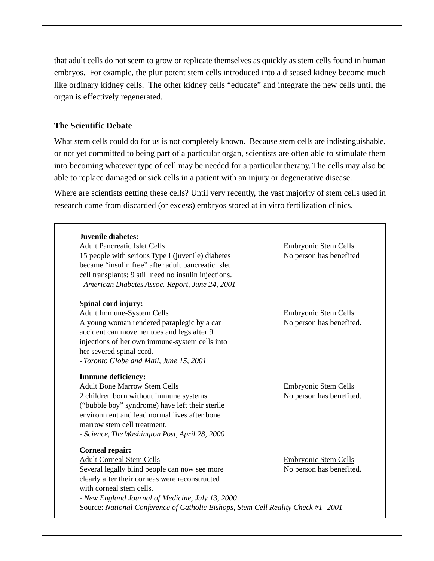that adult cells do not seem to grow or replicate themselves as quickly as stem cells found in human embryos. For example, the pluripotent stem cells introduced into a diseased kidney become much like ordinary kidney cells. The other kidney cells "educate" and integrate the new cells until the organ is effectively regenerated.

#### **The Scientific Debate**

What stem cells could do for us is not completely known. Because stem cells are indistinguishable, or not yet committed to being part of a particular organ, scientists are often able to stimulate them into becoming whatever type of cell may be needed for a particular therapy. The cells may also be able to replace damaged or sick cells in a patient with an injury or degenerative disease.

Where are scientists getting these cells? Until very recently, the vast majority of stem cells used in research came from discarded (or excess) embryos stored at in vitro fertilization clinics.

| <b>Juvenile diabetes:</b><br><b>Adult Pancreatic Islet Cells</b>                 | <b>Embryonic Stem Cells</b> |
|----------------------------------------------------------------------------------|-----------------------------|
| 15 people with serious Type I (juvenile) diabetes                                | No person has benefited     |
| became "insulin free" after adult pancreatic islet                               |                             |
| cell transplants; 9 still need no insulin injections.                            |                             |
| - American Diabetes Assoc. Report, June 24, 2001                                 |                             |
| Spinal cord injury:                                                              |                             |
| <b>Adult Immune-System Cells</b>                                                 | <b>Embryonic Stem Cells</b> |
| A young woman rendered paraplegic by a car                                       | No person has benefited.    |
| accident can move her toes and legs after 9                                      |                             |
| injections of her own immune-system cells into                                   |                             |
| her severed spinal cord.                                                         |                             |
| - Toronto Globe and Mail, June 15, 2001                                          |                             |
| <b>Immune deficiency:</b>                                                        |                             |
| <b>Adult Bone Marrow Stem Cells</b>                                              | <b>Embryonic Stem Cells</b> |
| 2 children born without immune systems                                           | No person has benefited.    |
| ("bubble boy" syndrome) have left their sterile                                  |                             |
| environment and lead normal lives after bone                                     |                             |
| marrow stem cell treatment.                                                      |                             |
| - Science, The Washington Post, April 28, 2000                                   |                             |
| <b>Corneal repair:</b>                                                           |                             |
| <b>Adult Corneal Stem Cells</b>                                                  | <b>Embryonic Stem Cells</b> |
| Several legally blind people can now see more                                    | No person has benefited.    |
| clearly after their corneas were reconstructed                                   |                             |
| with corneal stem cells.                                                         |                             |
| - New England Journal of Medicine, July 13, 2000                                 |                             |
| Source: National Conference of Catholic Bishops, Stem Cell Reality Check #1-2001 |                             |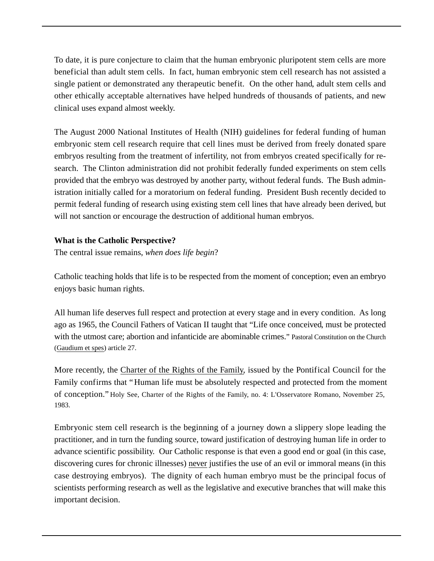To date, it is pure conjecture to claim that the human embryonic pluripotent stem cells are more beneficial than adult stem cells. In fact, human embryonic stem cell research has not assisted a single patient or demonstrated any therapeutic benefit. On the other hand, adult stem cells and other ethically acceptable alternatives have helped hundreds of thousands of patients, and new clinical uses expand almost weekly.

The August 2000 National Institutes of Health (NIH) guidelines for federal funding of human embryonic stem cell research require that cell lines must be derived from freely donated spare embryos resulting from the treatment of infertility, not from embryos created specifically for research. The Clinton administration did not prohibit federally funded experiments on stem cells provided that the embryo was destroyed by another party, without federal funds. The Bush administration initially called for a moratorium on federal funding. President Bush recently decided to permit federal funding of research using existing stem cell lines that have already been derived, but will not sanction or encourage the destruction of additional human embryos.

#### **What is the Catholic Perspective?**

The central issue remains, *when does life begin*?

Catholic teaching holds that life is to be respected from the moment of conception; even an embryo enjoys basic human rights.

All human life deserves full respect and protection at every stage and in every condition. As long ago as 1965, the Council Fathers of Vatican II taught that "Life once conceived, must be protected with the utmost care; abortion and infanticide are abominable crimes." Pastoral Constitution on the Church (Gaudium et spes) article 27.

More recently, the Charter of the Rights of the Family, issued by the Pontifical Council for the Family confirms that " Human life must be absolutely respected and protected from the moment of conception." Holy See, Charter of the Rights of the Family, no. 4: L'Osservatore Romano, November 25, 1983.

Embryonic stem cell research is the beginning of a journey down a slippery slope leading the practitioner, and in turn the funding source, toward justification of destroying human life in order to advance scientific possibility. Our Catholic response is that even a good end or goal (in this case, discovering cures for chronic illnesses) never justifies the use of an evil or immoral means (in this case destroying embryos). The dignity of each human embryo must be the principal focus of scientists performing research as well as the legislative and executive branches that will make this important decision.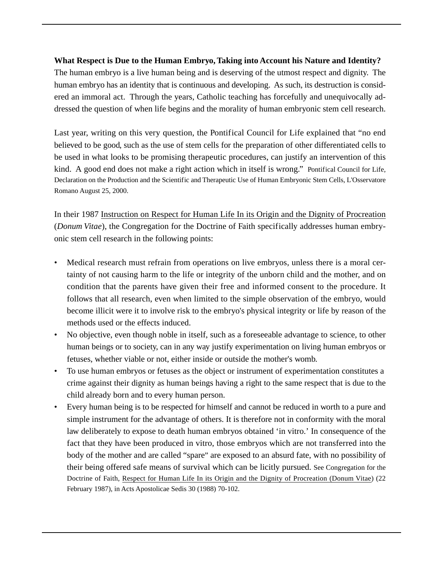#### **What Respect is Due to the Human Embryo, Taking into Account his Nature and Identity?**

The human embryo is a live human being and is deserving of the utmost respect and dignity. The human embryo has an identity that is continuous and developing. As such, its destruction is considered an immoral act. Through the years, Catholic teaching has forcefully and unequivocally addressed the question of when life begins and the morality of human embryonic stem cell research.

Last year, writing on this very question, the Pontifical Council for Life explained that "no end believed to be good, such as the use of stem cells for the preparation of other differentiated cells to be used in what looks to be promising therapeutic procedures, can justify an intervention of this kind. A good end does not make a right action which in itself is wrong." Pontifical Council for Life, Declaration on the Production and the Scientific and Therapeutic Use of Human Embryonic Stem Cells, L'Osservatore Romano August 25, 2000.

In their 1987 Instruction on Respect for Human Life In its Origin and the Dignity of Procreation (*Donum Vitae*), the Congregation for the Doctrine of Faith specifically addresses human embryonic stem cell research in the following points:

- Medical research must refrain from operations on live embryos, unless there is a moral certainty of not causing harm to the life or integrity of the unborn child and the mother, and on condition that the parents have given their free and informed consent to the procedure. It follows that all research, even when limited to the simple observation of the embryo, would become illicit were it to involve risk to the embryo's physical integrity or life by reason of the methods used or the effects induced.
- No objective, even though noble in itself, such as a foreseeable advantage to science, to other human beings or to society, can in any way justify experimentation on living human embryos or fetuses, whether viable or not, either inside or outside the mother's womb.
- To use human embryos or fetuses as the object or instrument of experimentation constitutes a crime against their dignity as human beings having a right to the same respect that is due to the child already born and to every human person.
- Every human being is to be respected for himself and cannot be reduced in worth to a pure and simple instrument for the advantage of others. It is therefore not in conformity with the moral law deliberately to expose to death human embryos obtained 'in vitro.' In consequence of the fact that they have been produced in vitro, those embryos which are not transferred into the body of the mother and are called "spare" are exposed to an absurd fate, with no possibility of their being offered safe means of survival which can be licitly pursued. See Congregation for the Doctrine of Faith, Respect for Human Life In its Origin and the Dignity of Procreation (Donum Vitae) (22 February 1987), in Acts Apostolicae Sedis 30 (1988) 70-102.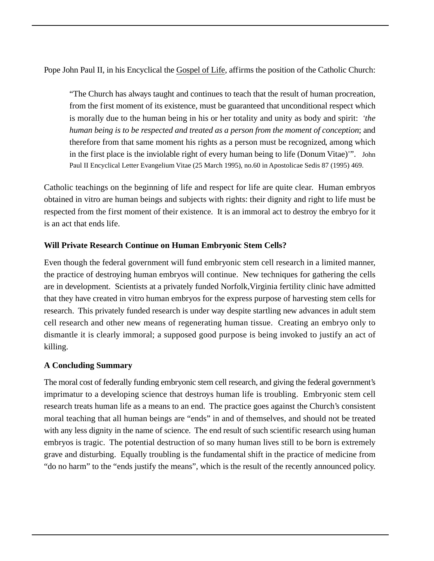Pope John Paul II, in his Encyclical the Gospel of Life, affirms the position of the Catholic Church:

"The Church has always taught and continues to teach that the result of human procreation, from the first moment of its existence, must be guaranteed that unconditional respect which is morally due to the human being in his or her totality and unity as body and spirit: *'the human being is to be respected and treated as a person from the moment of conception*; and therefore from that same moment his rights as a person must be recognized, among which in the first place is the inviolable right of every human being to life (Donum Vitae)'". John Paul II Encyclical Letter Evangelium Vitae (25 March 1995), no.60 in Apostolicae Sedis 87 (1995) 469.

Catholic teachings on the beginning of life and respect for life are quite clear. Human embryos obtained in vitro are human beings and subjects with rights: their dignity and right to life must be respected from the first moment of their existence. It is an immoral act to destroy the embryo for it is an act that ends life.

### **Will Private Research Continue on Human Embryonic Stem Cells?**

Even though the federal government will fund embryonic stem cell research in a limited manner, the practice of destroying human embryos will continue. New techniques for gathering the cells are in development. Scientists at a privately funded Norfolk,Virginia fertility clinic have admitted that they have created in vitro human embryos for the express purpose of harvesting stem cells for research. This privately funded research is under way despite startling new advances in adult stem cell research and other new means of regenerating human tissue. Creating an embryo only to dismantle it is clearly immoral; a supposed good purpose is being invoked to justify an act of killing.

#### **A Concluding Summary**

The moral cost of federally funding embryonic stem cell research, and giving the federal government's imprimatur to a developing science that destroys human life is troubling. Embryonic stem cell research treats human life as a means to an end. The practice goes against the Church's consistent moral teaching that all human beings are "ends" in and of themselves, and should not be treated with any less dignity in the name of science. The end result of such scientific research using human embryos is tragic. The potential destruction of so many human lives still to be born is extremely grave and disturbing. Equally troubling is the fundamental shift in the practice of medicine from "do no harm" to the "ends justify the means", which is the result of the recently announced policy.